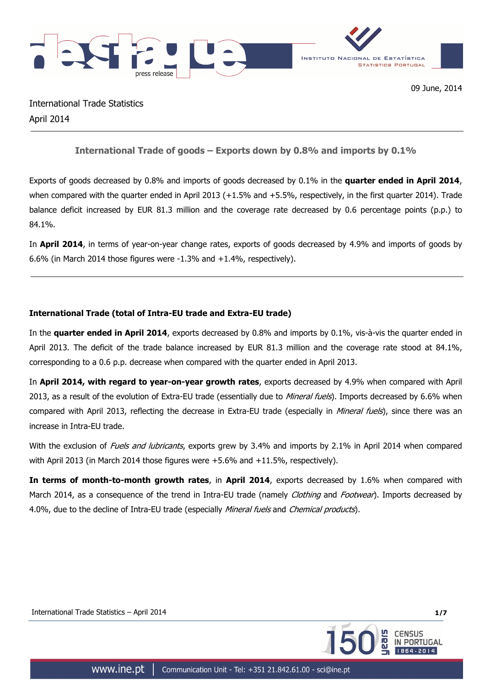



International Trade Statistics April 2014

# **International Trade of goods – Exports down by 0.8% and imports by 0.1%**

Exports of goods decreased by 0.8% and imports of goods decreased by 0.1% in the **quarter ended in April 2014**, when compared with the quarter ended in April 2013 (+1.5% and +5.5%, respectively, in the first quarter 2014). Trade balance deficit increased by EUR 81.3 million and the coverage rate decreased by 0.6 percentage points (p.p.) to 84.1%.

In **April 2014**, in terms of year-on-year change rates, exports of goods decreased by 4.9% and imports of goods by 6.6% (in March 2014 those figures were -1.3% and +1.4%, respectively).

## **International Trade (total of Intra-EU trade and Extra-EU trade)**

In the **quarter ended in April 2014**, exports decreased by 0.8% and imports by 0.1%, vis-à-vis the quarter ended in April 2013. The deficit of the trade balance increased by EUR 81.3 million and the coverage rate stood at 84.1%, corresponding to a 0.6 p.p. decrease when compared with the quarter ended in April 2013.

In **April 2014, with regard to year-on-year growth rates**, exports decreased by 4.9% when compared with April 2013, as a result of the evolution of Extra-EU trade (essentially due to Mineral fuels). Imports decreased by 6.6% when compared with April 2013, reflecting the decrease in Extra-EU trade (especially in *Mineral fuels*), since there was an increase in Intra-EU trade.

With the exclusion of Fuels and lubricants, exports grew by 3.4% and imports by 2.1% in April 2014 when compared with April 2013 (in March 2014 those figures were  $+5.6\%$  and  $+11.5\%$ , respectively).

**In terms of month-to-month growth rates**, in **April 2014**, exports decreased by 1.6% when compared with March 2014, as a consequence of the trend in Intra-EU trade (namely *Clothing* and Footwear). Imports decreased by 4.0%, due to the decline of Intra-EU trade (especially *Mineral fuels* and *Chemical products*).

International Trade Statistics – April 2014 **1/7**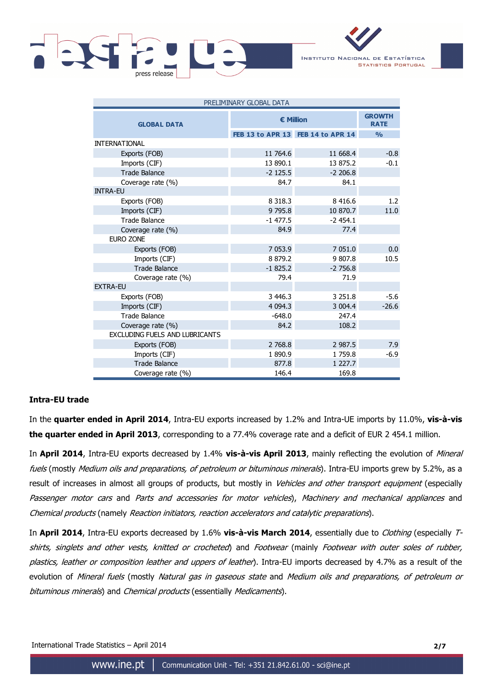



| PRELIMINARY GLOBAL DATA        |            |                                   |               |  |  |  |  |
|--------------------------------|------------|-----------------------------------|---------------|--|--|--|--|
| <b>GLOBAL DATA</b>             | € Million  | <b>GROWTH</b><br><b>RATE</b>      |               |  |  |  |  |
|                                |            | FEB 13 to APR 13 FEB 14 to APR 14 | $\frac{0}{0}$ |  |  |  |  |
| <b>INTERNATIONAL</b>           |            |                                   |               |  |  |  |  |
| Exports (FOB)                  | 11 764.6   | 11 668.4                          | $-0.8$        |  |  |  |  |
| Imports (CIF)                  | 13 890.1   | 13 875.2                          | $-0.1$        |  |  |  |  |
| <b>Trade Balance</b>           | $-2$ 125.5 | $-2206.8$                         |               |  |  |  |  |
| Coverage rate (%)              | 84.7       | 84.1                              |               |  |  |  |  |
| <b>INTRA-EU</b>                |            |                                   |               |  |  |  |  |
| Exports (FOB)                  | 8 3 18 .3  | 8 4 1 6 . 6                       | $1.2^{\circ}$ |  |  |  |  |
| Imports (CIF)                  | 9 7 9 5.8  | 10 870.7                          | 11.0          |  |  |  |  |
| <b>Trade Balance</b>           | $-1477.5$  | $-2454.1$                         |               |  |  |  |  |
| Coverage rate (%)              | 84.9       | 77.4                              |               |  |  |  |  |
| EURO ZONE                      |            |                                   |               |  |  |  |  |
| Exports (FOB)                  | 7 053.9    | 7 0 5 1 .0                        | 0.0           |  |  |  |  |
| Imports (CIF)                  | 8 879.2    | 9 807.8                           | 10.5          |  |  |  |  |
| <b>Trade Balance</b>           | $-1825.2$  | $-2756.8$                         |               |  |  |  |  |
| Coverage rate (%)              | 79.4       | 71.9                              |               |  |  |  |  |
| <b>EXTRA-EU</b>                |            |                                   |               |  |  |  |  |
| Exports (FOB)                  | 3 446.3    | 3 2 5 1 . 8                       | $-5.6$        |  |  |  |  |
| Imports (CIF)                  | 4 0 94.3   | 3 004.4                           | $-26.6$       |  |  |  |  |
| <b>Trade Balance</b>           | $-648.0$   | 247.4                             |               |  |  |  |  |
| Coverage rate (%)              | 84.2       | 108.2                             |               |  |  |  |  |
| EXCLUDING FUELS AND LUBRICANTS |            |                                   |               |  |  |  |  |
| Exports (FOB)                  | 2 768.8    | 2 987.5                           | 7.9           |  |  |  |  |
| Imports (CIF)                  | 1890.9     | 1 759.8                           | $-6.9$        |  |  |  |  |
| <b>Trade Balance</b>           | 877.8      | 1 2 2 7 . 7                       |               |  |  |  |  |
| Coverage rate (%)              | 146.4      | 169.8                             |               |  |  |  |  |

## **Intra-EU trade**

In the **quarter ended in April 2014**, Intra-EU exports increased by 1.2% and Intra-UE imports by 11.0%, **vis-à-vis the quarter ended in April 2013**, corresponding to a 77.4% coverage rate and a deficit of EUR 2 454.1 million.

In **April 2014**, Intra-EU exports decreased by 1.4% **vis-à-vis April 2013**, mainly reflecting the evolution of Mineral fuels (mostly *Medium oils and preparations, of petroleum or bituminous minerals*). Intra-EU imports grew by 5.2%, as a result of increases in almost all groups of products, but mostly in Vehicles and other transport equipment (especially Passenger motor cars and Parts and accessories for motor vehicles), Machinery and mechanical appliances and Chemical products (namely Reaction initiators, reaction accelerators and catalytic preparations).

In **April 2014**, Intra-EU exports decreased by 1.6% **vis-à-vis March 2014**, essentially due to Clothing (especially Tshirts, singlets and other vests, knitted or crocheted) and Footwear (mainly Footwear with outer soles of rubber, plastics, leather or composition leather and uppers of leather). Intra-EU imports decreased by 4.7% as a result of the evolution of Mineral fuels (mostly Natural gas in gaseous state and Medium oils and preparations, of petroleum or bituminous minerals) and Chemical products (essentially Medicaments).

International Trade Statistics – April 2014 **2/7**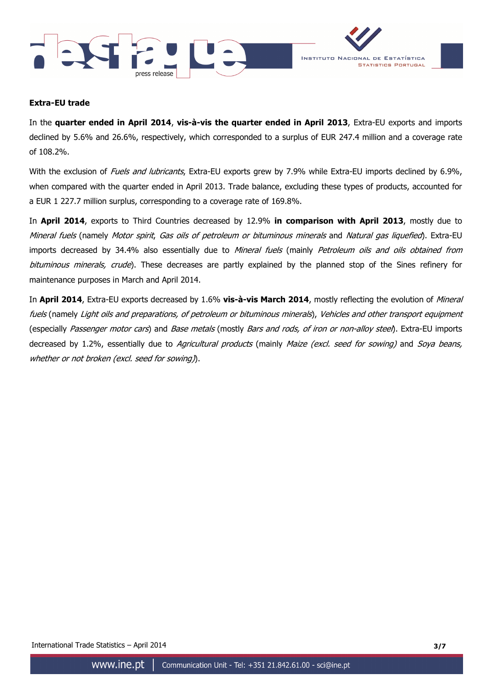



### **Extra-EU trade**

In the **quarter ended in April 2014**, **vis-à-vis the quarter ended in April 2013**, Extra-EU exports and imports declined by 5.6% and 26.6%, respectively, which corresponded to a surplus of EUR 247.4 million and a coverage rate of 108.2%.

With the exclusion of Fuels and lubricants, Extra-EU exports grew by 7.9% while Extra-EU imports declined by 6.9%, when compared with the quarter ended in April 2013. Trade balance, excluding these types of products, accounted for a EUR 1 227.7 million surplus, corresponding to a coverage rate of 169.8%.

In **April 2014**, exports to Third Countries decreased by 12.9% **in comparison with April 2013**, mostly due to Mineral fuels (namely Motor spirit, Gas oils of petroleum or bituminous minerals and Natural gas liquefied). Extra-EU imports decreased by 34.4% also essentially due to Mineral fuels (mainly Petroleum oils and oils obtained from bituminous minerals, crude). These decreases are partly explained by the planned stop of the Sines refinery for maintenance purposes in March and April 2014.

In **April 2014**, Extra-EU exports decreased by 1.6% **vis-à-vis March 2014**, mostly reflecting the evolution of Mineral fuels (namely Light oils and preparations, of petroleum or bituminous minerals), Vehicles and other transport equipment (especially Passenger motor cars) and Base metals (mostly Bars and rods, of iron or non-alloy steel). Extra-EU imports decreased by 1.2%, essentially due to Agricultural products (mainly Maize (excl. seed for sowing) and Soya beans, whether or not broken (excl. seed for sowing)).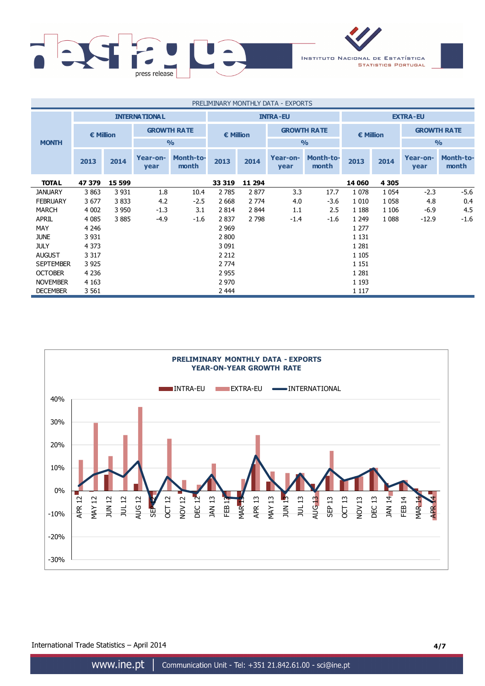



| PRELIMINARY MONTHLY DATA - EXPORTS |                                        |         |                  |                           |         |                    |                  |                    |         |                    |                  |                    |
|------------------------------------|----------------------------------------|---------|------------------|---------------------------|---------|--------------------|------------------|--------------------|---------|--------------------|------------------|--------------------|
|                                    | <b>INTERNATIONAL</b>                   |         |                  | <b>INTRA-EU</b>           |         |                    |                  | <b>EXTRA-EU</b>    |         |                    |                  |                    |
|                                    | <b>GROWTH RATE</b><br><b>€ Million</b> |         |                  | € Million                 |         | <b>GROWTH RATE</b> |                  | $\epsilon$ Million |         | <b>GROWTH RATE</b> |                  |                    |
| <b>MONTH</b>                       |                                        |         |                  | $\frac{9}{0}$             |         |                    | $\frac{9}{0}$    |                    |         |                    | $\frac{9}{0}$    |                    |
|                                    | 2013                                   | 2014    | Year-on-<br>year | <b>Month-to-</b><br>month | 2013    | 2014               | Year-on-<br>year | Month-to-<br>month | 2013    | 2014               | Year-on-<br>year | Month-to-<br>month |
| <b>TOTAL</b>                       | 47 379                                 | 15 599  |                  |                           | 33 319  | 11 294             |                  |                    | 14 060  | 4 3 0 5            |                  |                    |
| <b>JANUARY</b>                     | 3 8 6 3                                | 3 9 3 1 | 1.8              | 10.4                      | 2 7 8 5 | 2877               | 3.3              | 17.7               | 1 0 7 8 | 1 0 5 4            | $-2.3$           | $-5.6$             |
| <b>FEBRUARY</b>                    | 3 677                                  | 3833    | 4.2              | $-2.5$                    | 2 6 6 8 | 2 7 7 4            | 4.0              | $-3.6$             | 1 0 1 0 | 1 0 5 8            | 4.8              | 0.4                |
| <b>MARCH</b>                       | 4 0 0 2                                | 3 9 5 0 | $-1.3$           | 3.1                       | 2814    | 2 8 4 4            | 1.1              | 2.5                | 1 1 8 8 | 1 1 0 6            | $-6.9$           | 4.5                |
| APRIL                              | 4 0 8 5                                | 3885    | $-4.9$           | $-1.6$                    | 2837    | 2 7 9 8            | $-1.4$           | $-1.6$             | 1 2 4 9 | 1 0 8 8            | $-12.9$          | $-1.6$             |
| <b>MAY</b>                         | 4 2 4 6                                |         |                  |                           | 2 9 6 9 |                    |                  |                    | 1 277   |                    |                  |                    |
| <b>JUNE</b>                        | 3 9 3 1                                |         |                  |                           | 2 8 0 0 |                    |                  |                    | 1 1 3 1 |                    |                  |                    |
| <b>JULY</b>                        | 4 3 7 3                                |         |                  |                           | 3 0 9 1 |                    |                  |                    | 1 2 8 1 |                    |                  |                    |
| <b>AUGUST</b>                      | 3 3 1 7                                |         |                  |                           | 2 2 1 2 |                    |                  |                    | 1 1 0 5 |                    |                  |                    |
| <b>SEPTEMBER</b>                   | 3 9 2 5                                |         |                  |                           | 2 7 7 4 |                    |                  |                    | 1 1 5 1 |                    |                  |                    |
| <b>OCTOBER</b>                     | 4 2 3 6                                |         |                  |                           | 2 9 5 5 |                    |                  |                    | 1 2 8 1 |                    |                  |                    |
| <b>NOVEMBER</b>                    | 4 1 6 3                                |         |                  |                           | 2 9 7 0 |                    |                  |                    | 1 1 9 3 |                    |                  |                    |
| <b>DECEMBER</b>                    | 3 5 6 1                                |         |                  |                           | 2 4 4 4 |                    |                  |                    | 1 1 1 7 |                    |                  |                    |



International Trade Statistics – April 2014 **4/7**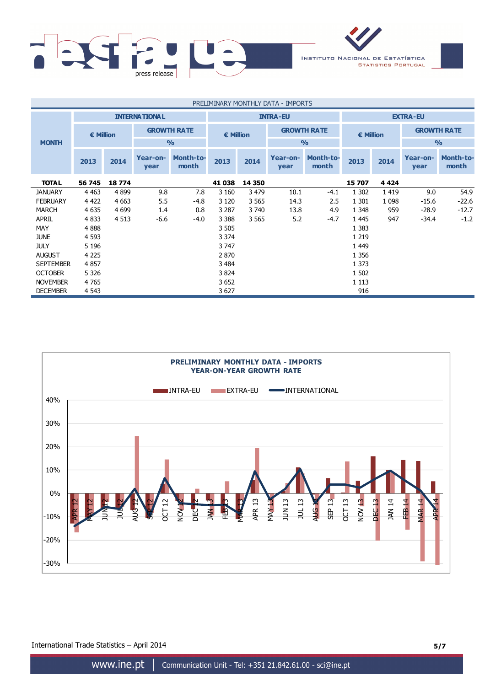



| PRELIMINARY MONTHLY DATA - IMPORTS |                                        |         |                  |                           |               |                    |                  |                    |               |                    |                  |                           |
|------------------------------------|----------------------------------------|---------|------------------|---------------------------|---------------|--------------------|------------------|--------------------|---------------|--------------------|------------------|---------------------------|
|                                    | <b>INTERNATIONAL</b>                   |         |                  | <b>INTRA-EU</b>           |               |                    |                  | <b>EXTRA-EU</b>    |               |                    |                  |                           |
|                                    | <b>GROWTH RATE</b><br><b>€ Million</b> |         |                  | € Million                 |               | <b>GROWTH RATE</b> |                  | $\epsilon$ Million |               | <b>GROWTH RATE</b> |                  |                           |
| <b>MONTH</b>                       |                                        |         |                  | O <sub>0</sub>            | $\frac{0}{0}$ |                    |                  |                    | $\frac{O}{O}$ |                    |                  |                           |
|                                    | 2013                                   | 2014    | Year-on-<br>year | <b>Month-to-</b><br>month | 2013          | 2014               | Year-on-<br>year | Month-to-<br>month | 2013          | 2014               | Year-on-<br>year | <b>Month-to-</b><br>month |
| <b>TOTAL</b>                       | 56 745                                 | 18774   |                  |                           | 41 038        | 14 350             |                  |                    | 15707         | 4424               |                  |                           |
| <b>JANUARY</b>                     | 4 4 6 3                                | 4 8 9 9 | 9.8              | 7.8                       | 3 1 6 0       | 3 4 7 9            | 10.1             | $-4.1$             | 1 3 0 2       | 1419               | 9.0              | 54.9                      |
| <b>FEBRUARY</b>                    | 4 4 2 2                                | 4 6 63  | 5.5              | $-4.8$                    | 3 1 2 0       | 3 5 6 5            | 14.3             | 2.5                | 1 3 0 1       | 1 0 9 8            | $-15.6$          | $-22.6$                   |
| <b>MARCH</b>                       | 4 6 3 5                                | 4 6 9 9 | 1.4              | 0.8                       | 3 2 8 7       | 3 7 4 0            | 13.8             | 4.9                | 1 3 4 8       | 959                | $-28.9$          | $-12.7$                   |
| APRIL                              | 4 8 3 3                                | 4 5 1 3 | $-6.6$           | $-4.0$                    | 3 3 8 8       | 3 5 6 5            | 5.2              | $-4.7$             | 1 4 4 5       | 947                | $-34.4$          | $-1.2$                    |
| <b>MAY</b>                         | 4888                                   |         |                  |                           | 3 5 0 5       |                    |                  |                    | 1 3 8 3       |                    |                  |                           |
| <b>JUNE</b>                        | 4 5 9 3                                |         |                  |                           | 3 3 7 4       |                    |                  |                    | 1 2 1 9       |                    |                  |                           |
| <b>JULY</b>                        | 5 1 9 6                                |         |                  |                           | 3747          |                    |                  |                    | 1 4 4 9       |                    |                  |                           |
| <b>AUGUST</b>                      | 4 2 2 5                                |         |                  |                           | 2870          |                    |                  |                    | 1 3 5 6       |                    |                  |                           |
| <b>SEPTEMBER</b>                   | 4 8 5 7                                |         |                  |                           | 3 4 8 4       |                    |                  |                    | 1 3 7 3       |                    |                  |                           |
| <b>OCTOBER</b>                     | 5 3 2 6                                |         |                  |                           | 3824          |                    |                  |                    | 1 502         |                    |                  |                           |
| <b>NOVEMBER</b>                    | 4765                                   |         |                  |                           | 3652          |                    |                  |                    | 1 1 1 3       |                    |                  |                           |
| <b>DECEMBER</b>                    | 4 5 43                                 |         |                  |                           | 3627          |                    |                  |                    | 916           |                    |                  |                           |



International Trade Statistics – April 2014 **5/7**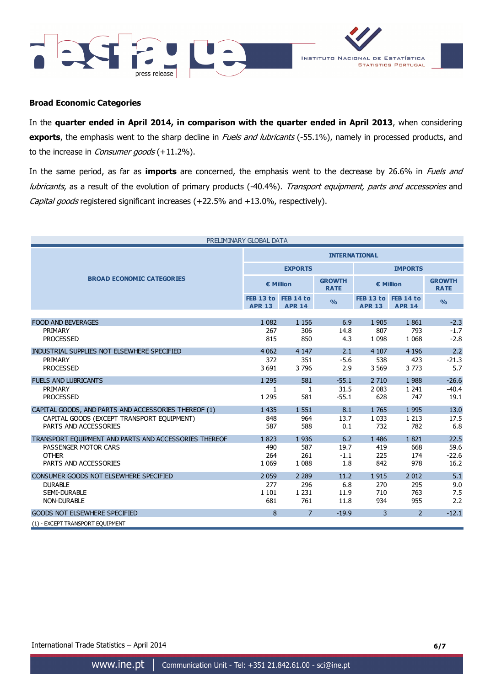



### **Broad Economic Categories**

In the **quarter ended in April 2014, in comparison with the quarter ended in April 2013**, when considering exports, the emphasis went to the sharp decline in Fuels and lubricants (-55.1%), namely in processed products, and to the increase in *Consumer goods* (+11.2%).

In the same period, as far as **imports** are concerned, the emphasis went to the decrease by 26.6% in Fuels and lubricants, as a result of the evolution of primary products (-40.4%). Transport equipment, parts and accessories and Capital goods registered significant increases (+22.5% and +13.0%, respectively).

|                                                       | PRELIMINARY GLOBAL DATA              |                      |                              |                                      |                |                              |  |  |
|-------------------------------------------------------|--------------------------------------|----------------------|------------------------------|--------------------------------------|----------------|------------------------------|--|--|
|                                                       |                                      | <b>INTERNATIONAL</b> |                              |                                      |                |                              |  |  |
|                                                       |                                      | <b>EXPORTS</b>       |                              | <b>IMPORTS</b>                       |                |                              |  |  |
| <b>BROAD ECONOMIC CATEGORIES</b>                      | € Million                            |                      | <b>GROWTH</b><br><b>RATE</b> | € Million                            |                | <b>GROWTH</b><br><b>RATE</b> |  |  |
|                                                       | FEB 13 to FEB 14 to<br><b>APR 13</b> | <b>APR 14</b>        | $\frac{0}{0}$                | FEB 13 to FEB 14 to<br><b>APR 13</b> | <b>APR 14</b>  | $\frac{0}{0}$                |  |  |
| <b>FOOD AND BEVERAGES</b>                             | 1 0 8 2                              | 1 1 5 6              | 6.9                          | 1 9 0 5                              | 1861           | $-2.3$                       |  |  |
| PRIMARY                                               | 267                                  | 306                  | 14.8                         | 807                                  | 793            | $-1.7$                       |  |  |
| <b>PROCESSED</b>                                      | 815                                  | 850                  | 4.3                          | 1 0 9 8                              | 1 0 6 8        | $-2.8$                       |  |  |
| INDUSTRIAL SUPPLIES NOT ELSEWHERE SPECIFIED           | 4 0 6 2                              | 4 1 4 7              | 2.1                          | 4 1 0 7                              | 4 1 9 6        | 2.2                          |  |  |
| PRIMARY                                               | 372                                  | 351                  | $-5.6$                       | 538                                  | 423            | $-21.3$                      |  |  |
| <b>PROCESSED</b>                                      | 3691                                 | 3796                 | 2.9                          | 3 5 6 9                              | 3773           | 5.7                          |  |  |
| <b>FUELS AND LUBRICANTS</b>                           | 1 2 9 5                              | 581                  | $-55.1$                      | 2 7 1 0                              | 1988           | $-26.6$                      |  |  |
| PRIMARY                                               | $\mathbf{1}$                         | 1                    | 31.5                         | 2 0 8 3                              | 1 2 4 1        | $-40.4$                      |  |  |
| <b>PROCESSED</b>                                      | 1 2 9 5                              | 581                  | $-55.1$                      | 628                                  | 747            | 19.1                         |  |  |
| CAPITAL GOODS, AND PARTS AND ACCESSORIES THEREOF (1)  | 1 4 3 5                              | 1 5 5 1              | 8.1                          | 1765                                 | 1 9 9 5        | 13.0                         |  |  |
| CAPITAL GOODS (EXCEPT TRANSPORT EQUIPMENT)            | 848                                  | 964                  | 13.7                         | 1 0 3 3                              | 1 2 1 3        | 17.5                         |  |  |
| PARTS AND ACCESSORIES                                 | 587                                  | 588                  | 0.1                          | 732                                  | 782            | 6.8                          |  |  |
| TRANSPORT EQUIPMENT AND PARTS AND ACCESSORIES THEREOF | 1823                                 | 1 9 3 6              | 6.2                          | 1 4 8 6                              | 1821           | 22.5                         |  |  |
| PASSENGER MOTOR CARS                                  | 490                                  | 587                  | 19.7                         | 419                                  | 668            | 59.6                         |  |  |
| <b>OTHER</b>                                          | 264                                  | 261                  | $-1.1$                       | 225                                  | 174            | $-22.6$                      |  |  |
| PARTS AND ACCESSORIES                                 | 1 0 6 9                              | 1 0 8 8              | 1.8                          | 842                                  | 978            | 16.2                         |  |  |
| CONSUMER GOODS NOT ELSEWHERE SPECIFIED                | 2 0 5 9                              | 2 2 8 9              | 11.2                         | 1915                                 | 2012           | 5.1                          |  |  |
| <b>DURABLE</b>                                        | 277                                  | 296                  | 6.8                          | 270                                  | 295            | 9.0                          |  |  |
| <b>SEMI-DURABLE</b>                                   | 1 1 0 1                              | 1 2 3 1              | 11.9                         | 710                                  | 763            | 7.5                          |  |  |
| <b>NON-DURABLE</b>                                    | 681                                  | 761                  | 11.8                         | 934                                  | 955            | 2.2                          |  |  |
| <b>GOODS NOT ELSEWHERE SPECIFIED</b>                  | 8                                    | 7                    | $-19.9$                      | 3                                    | $\overline{2}$ | $-12.1$                      |  |  |
| (1) - EXCEPT TRANSPORT EQUIPMENT                      |                                      |                      |                              |                                      |                |                              |  |  |